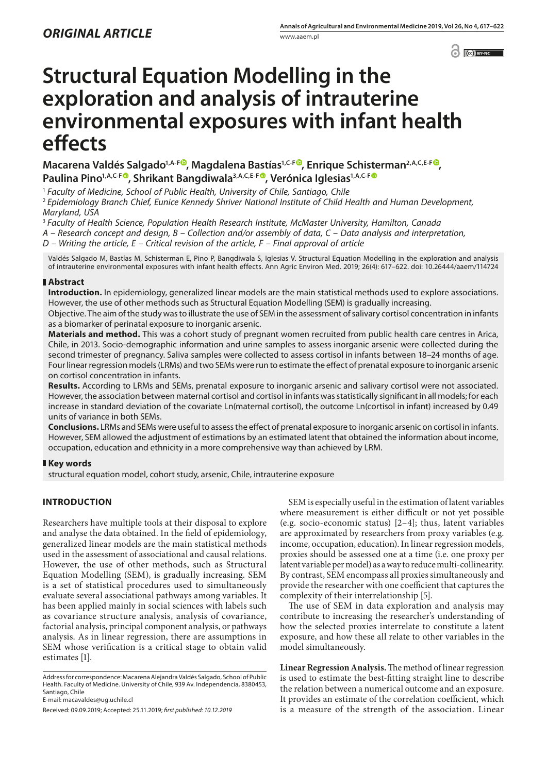$\odot$   $\odot$  BY-NC

# **Structural Equation Modelling in the exploration and analysis of intrauterine environmental exposures with infant health effects**

**Macarena Valdés Salgado<sup>1,A-[F](https://orcid.org/0000-0002-3791-8881)®</sup>[,](https://orcid.org/0000-0002-7298-4884) Magdalena Bastías<sup>1,C-F®</sup>, Enrique Schisterman<sup>2,A,C,E-F®</sup>,** Paulina Pino<sup>1,A,C-[F](https://orcid.org/0000-0002-3111-0689)<sup>®</sup>, Shrikant Bangdiwala<sup>3,A,C,E-F<sup>®</sup>, Verónica Iglesias<sup>1,A,C-F®</sup></sup></sup>

<sup>1</sup> *Faculty of Medicine, School of Public Health, University of Chile, Santiago, Chile*

<sup>2</sup> *Epidemiology Branch Chief, Eunice Kennedy Shriver National Institute of Child Health and Human Development, Maryland, USA*

<sup>3</sup> *Faculty of Health Science, Population Health Research Institute, McMaster University, Hamilton, Canada*

*A – Research concept and design, B – Collection and/or assembly of data, C – Data analysis and interpretation,* 

*D – Writing the article, E – Critical revision of the article, F – Final approval of article*

Valdés Salgado M, Bastías M, Schisterman E, Pino P, Bangdiwala S, Iglesias V. Structural Equation Modelling in the exploration and analysis of intrauterine environmental exposures with infant health effects. Ann Agric Environ Med. 2019; 26(4): 617–622. doi: 10.26444/aaem/114724

## **Abstract**

**Introduction.** In epidemiology, generalized linear models are the main statistical methods used to explore associations. However, the use of other methods such as Structural Equation Modelling (SEM) is gradually increasing.

Objective. The aim of the study was to illustrate the use of SEM in the assessment of salivary cortisol concentration in infants as a biomarker of perinatal exposure to inorganic arsenic.

**Materials and method.** This was a cohort study of pregnant women recruited from public health care centres in Arica, Chile, in 2013. Socio-demographic information and urine samples to assess inorganic arsenic were collected during the second trimester of pregnancy. Saliva samples were collected to assess cortisol in infants between 18–24 months of age. Four linear regression models (LRMs) and two SEMs were run to estimate the effect of prenatal exposure to inorganic arsenic on cortisol concentration in infants.

**Results.** According to LRMs and SEMs, prenatal exposure to inorganic arsenic and salivary cortisol were not associated. However, the association between maternal cortisol and cortisol in infants was statistically significant in all models; for each increase in standard deviation of the covariate Ln(maternal cortisol), the outcome Ln(cortisol in infant) increased by 0.49 units of variance in both SEMs.

**Conclusions.** LRMs and SEMs were useful to assess the effect of prenatal exposure to inorganic arsenic on cortisol in infants. However, SEM allowed the adjustment of estimations by an estimated latent that obtained the information about income, occupation, education and ethnicity in a more comprehensive way than achieved by LRM.

# **Key words**

structural equation model, cohort study, arsenic, Chile, intrauterine exposure

# **INTRODUCTION**

Researchers have multiple tools at their disposal to explore and analyse the data obtained. In the field of epidemiology, generalized linear models are the main statistical methods used in the assessment of associational and causal relations. However, the use of other methods, such as Structural Equation Modelling (SEM), is gradually increasing. SEM is a set of statistical procedures used to simultaneously evaluate several associational pathways among variables. It has been applied mainly in social sciences with labels such as covariance structure analysis, analysis of covariance, factorial analysis, principal component analysis, or pathways analysis. As in linear regression, there are assumptions in SEM whose verification is a critical stage to obtain valid estimates [1].

Address for correspondence: Macarena Alejandra Valdés Salgado, School of Public Health. Faculty of Medicine. University of Chile, 939 Av. Independencia, 8380453, Santiago, Chile

E-mail: macavaldes@ug.uchile.cl

SEM is especially useful in the estimation of latent variables where measurement is either difficult or not yet possible (e.g. socio-economic status) [2–4]; thus, latent variables are approximated by researchers from proxy variables (e.g. income, occupation, education). In linear regression models, proxies should be assessed one at a time (i.e. one proxy per latent variable per model) as a way to reduce multi-collinearity. By contrast, SEM encompass all proxies simultaneously and provide the researcher with one coefficient that captures the complexity of their interrelationship [5].

The use of SEM in data exploration and analysis may contribute to increasing the researcher's understanding of how the selected proxies interrelate to constitute a latent exposure, and how these all relate to other variables in the model simultaneously.

**Linear Regression Analysis.** The method of linear regression is used to estimate the best-fitting straight line to describe the relation between a numerical outcome and an exposure. It provides an estimate of the correlation coefficient, which is a measure of the strength of the association. Linear

Received: 09.09.2019; Accepted: 25.11.2019; *first published: 10.12.2019*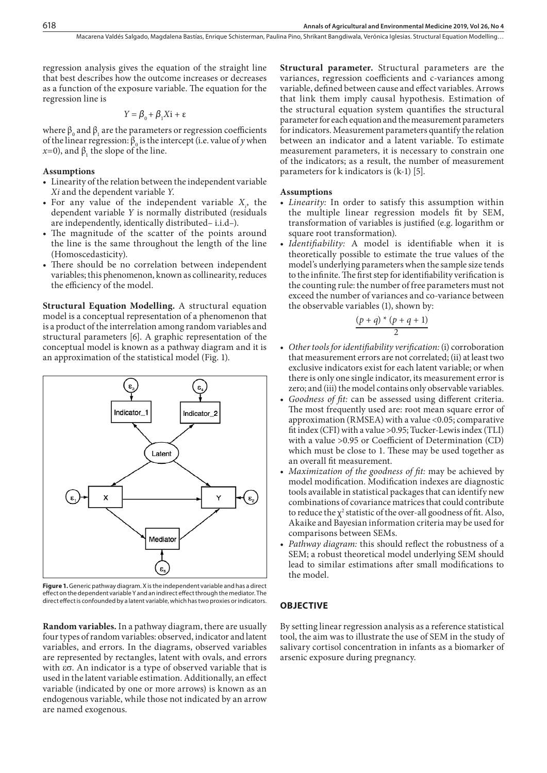regression analysis gives the equation of the straight line that best describes how the outcome increases or decreases as a function of the exposure variable. The equation for the regression line is

$$
Y = \beta_0 + \beta_1 X i + \varepsilon
$$

where  $\beta_0$  and  $\beta_1$  are the parameters or regression coefficients of the linear regression:  $\beta_0$  is the intercept (i.e. value of *y* when  $x=0$ ), and  $β_1$  the slope of the line.

#### **Assumptions**

- • Linearity of the relation between the independent variable *Xi* and the dependent variable *Y*.
- For any value of the independent variable  $X_i$ , the dependent variable *Y* is normally distributed (residuals are independently, identically distributed– i.i.d–).
- The magnitude of the scatter of the points around the line is the same throughout the length of the line (Homoscedasticity).
- There should be no correlation between independent variables; this phenomenon, known as collinearity, reduces the efficiency of the model.

**Structural Equation Modelling.** A structural equation model is a conceptual representation of a phenomenon that is a product of the interrelation among random variables and structural parameters [6]. A graphic representation of the conceptual model is known as a pathway diagram and it is an approximation of the statistical model (Fig. 1).



**Figure 1.** Generic pathway diagram. X is the independent variable and has a direct effect on the dependent variable Y and an indirect effect through the mediator. The direct effect is confounded by a latent variable, which has two proxies or indicators.

**Random variables.** In a pathway diagram, there are usually four types of random variables: observed, indicator and latent variables, and errors. In the diagrams, observed variables are represented by rectangles, latent with ovals, and errors with  $\epsilon\sigma$ . An indicator is a type of observed variable that is used in the latent variable estimation. Additionally, an effect variable (indicated by one or more arrows) is known as an endogenous variable, while those not indicated by an arrow are named exogenous.

**Structural parameter.** Structural parameters are the variances, regression coefficients and c-variances among variable, defined between cause and effect variables. Arrows that link them imply causal hypothesis. Estimation of the structural equation system quantifies the structural parameter for each equation and the measurement parameters for indicators. Measurement parameters quantify the relation between an indicator and a latent variable. To estimate measurement parameters, it is necessary to constrain one of the indicators; as a result, the number of measurement parameters for k indicators is (k-1) [5].

#### **Assumptions**

- *Linearity:* In order to satisfy this assumption within the multiple linear regression models fit by SEM, transformation of variables is justified (e.g. logarithm or square root transformation).
- • *Identifiability:* A model is identifiable when it is theoretically possible to estimate the true values of the model's underlying parameters when the sample size tends to the infinite. The first step for identifiability verification is the counting rule: the number of free parameters must not exceed the number of variances and co-variance between the observable variables (1), shown by:

$$
\frac{(p+q)*(p+q+1)}{2}
$$

- • *Other tools for identifiability verification:* (i) corroboration that measurement errors are not correlated; (ii) at least two exclusive indicators exist for each latent variable; or when there is only one single indicator, its measurement error is zero; and (iii) the model contains only observable variables.
- Goodness of fit: can be assessed using different criteria. The most frequently used are: root mean square error of approximation (RMSEA) with a value <0.05; comparative fit index (CFI) with a value >0.95; Tucker-Lewis index (TLI) with a value >0.95 or Coefficient of Determination (CD) which must be close to 1. These may be used together as an overall fit measurement.
- • *Maximization of the goodness of fit:* may be achieved by model modification. Modification indexes are diagnostic tools available in statistical packages that can identify new combinations of covariance matrices that could contribute to reduce the  $\chi^2$  statistic of the over-all goodness of fit. Also, Akaike and Bayesian information criteria may be used for comparisons between SEMs.
- • *Pathway diagram:* this should reflect the robustness of a SEM; a robust theoretical model underlying SEM should lead to similar estimations after small modifications to the model.

### **OBJECTIVE**

By setting linear regression analysis as a reference statistical tool, the aim was to illustrate the use of SEM in the study of salivary cortisol concentration in infants as a biomarker of arsenic exposure during pregnancy.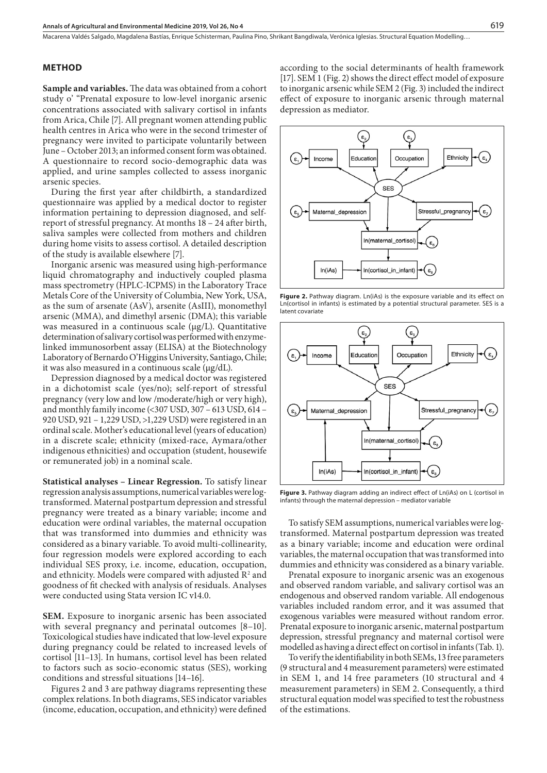Macarena Valdés Salgado, Magdalena Bastías, Enrique Schisterman, Paulina Pino, Shrikant Bangdiwala, Verónica Iglesias . Structural Equation Modelling…

#### **METHOD**

**Sample and variables.** The data was obtained from a cohort study o' "Prenatal exposure to low-level inorganic arsenic concentrations associated with salivary cortisol in infants from Arica, Chile [7]. All pregnant women attending public health centres in Arica who were in the second trimester of pregnancy were invited to participate voluntarily between June – October 2013; an informed consent form was obtained. A questionnaire to record socio-demographic data was applied, and urine samples collected to assess inorganic arsenic species.

During the first year after childbirth, a standardized questionnaire was applied by a medical doctor to register information pertaining to depression diagnosed, and selfreport of stressful pregnancy. At months 18 – 24 after birth, saliva samples were collected from mothers and children during home visits to assess cortisol. A detailed description of the study is available elsewhere [7].

Inorganic arsenic was measured using high-performance liquid chromatography and inductively coupled plasma mass spectrometry (HPLC-ICPMS) in the Laboratory Trace Metals Core of the University of Columbia, New York, USA, as the sum of arsenate (AsV), arsenite (AsIII), monomethyl arsenic (MMA), and dimethyl arsenic (DMA); this variable was measured in a continuous scale (μg/L). Quantitative determination of salivary cortisol was performed with enzymelinked immunosorbent assay (ELISA) at the Biotechnology Laboratory of Bernardo O'Higgins University, Santiago, Chile; it was also measured in a continuous scale (μg/dL).

Depression diagnosed by a medical doctor was registered in a dichotomist scale (yes/no); self-report of stressful pregnancy (very low and low /moderate/high or very high), and monthly family income (<307 USD, 307 – 613 USD, 614 – 920 USD, 921 – 1,229 USD, >1,229 USD) were registered in an ordinal scale. Mother's educational level (years of education) in a discrete scale; ethnicity (mixed-race, Aymara/other indigenous ethnicities) and occupation (student, housewife or remunerated job) in a nominal scale.

**Statistical analyses – Linear Regression.** To satisfy linear regression analysis assumptions, numerical variables were logtransformed. Maternal postpartum depression and stressful pregnancy were treated as a binary variable; income and education were ordinal variables, the maternal occupation that was transformed into dummies and ethnicity was considered as a binary variable. To avoid multi-collinearity, four regression models were explored according to each individual SES proxy, i.e. income, education, occupation, and ethnicity. Models were compared with adjusted  $\mathbb{R}^2$  and goodness of fit checked with analysis of residuals. Analyses were conducted using Stata version IC v14.0.

**SEM.** Exposure to inorganic arsenic has been associated with several pregnancy and perinatal outcomes [8–10]. Toxicological studies have indicated that low-level exposure during pregnancy could be related to increased levels of cortisol [11–13]. In humans, cortisol level has been related to factors such as socio-economic status (SES), working conditions and stressful situations [14–16].

Figures 2 and 3 are pathway diagrams representing these complex relations. In both diagrams, SES indicator variables (income, education, occupation, and ethnicity) were defined according to the social determinants of health framework [17]. SEM 1 (Fig. 2) shows the direct effect model of exposure to inorganic arsenic while SEM 2 (Fig. 3) included the indirect effect of exposure to inorganic arsenic through maternal depression as mediator.



Figure 2. Pathway diagram. Ln(iAs) is the exposure variable and its effect on Ln(cortisol in infants) is estimated by a potential structural parameter. SES is a latent covariate



**Figure 3.** Pathway diagram adding an indirect effect of Ln(iAs) on L (cortisol in infants) through the maternal depression – mediator variable

To satisfy SEM assumptions, numerical variables were logtransformed. Maternal postpartum depression was treated as a binary variable; income and education were ordinal variables, the maternal occupation that was transformed into dummies and ethnicity was considered as a binary variable.

Prenatal exposure to inorganic arsenic was an exogenous and observed random variable, and salivary cortisol was an endogenous and observed random variable. All endogenous variables included random error, and it was assumed that exogenous variables were measured without random error. Prenatal exposure to inorganic arsenic, maternal postpartum depression, stressful pregnancy and maternal cortisol were modelled as having a direct effect on cortisol in infants (Tab. 1).

To verify the identifiability in both SEMs, 13 free parameters (9 structural and 4 measurement parameters) were estimated in SEM 1, and 14 free parameters (10 structural and 4 measurement parameters) in SEM 2. Consequently, a third structural equation model was specified to test the robustness of the estimations.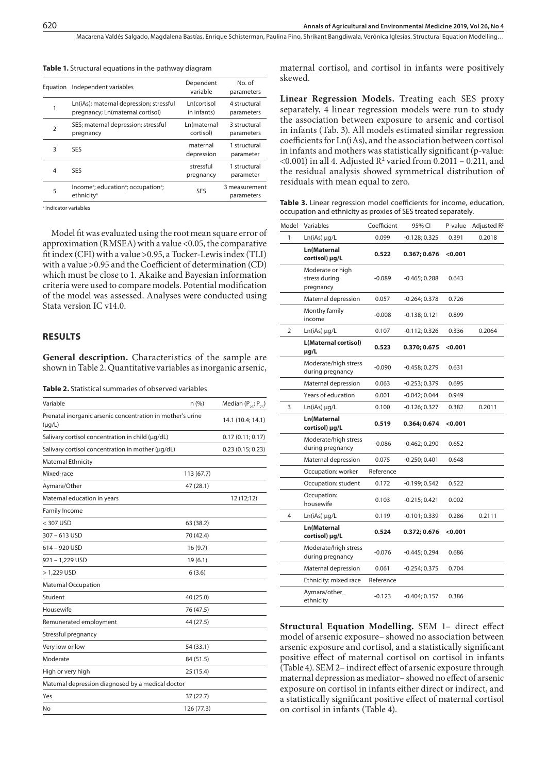Macarena Valdés Salgado, Magdalena Bastías, Enrique Schisterman, Paulina Pino, Shrikant Bangdiwala, Verónica Iglesias . Structural Equation Modelling…

|  |  |  |  |  |  | <b>Table 1.</b> Structural equations in the pathway diagram |  |
|--|--|--|--|--|--|-------------------------------------------------------------|--|
|--|--|--|--|--|--|-------------------------------------------------------------|--|

| Equation       | Independent variables                                                                              | Dependent<br>variable      | No. of<br>parameters        |  |
|----------------|----------------------------------------------------------------------------------------------------|----------------------------|-----------------------------|--|
|                | Ln(iAs); maternal depression; stressful<br>pregnancy; Ln(maternal cortisol)                        | Ln(cortisol<br>in infants) | 4 structural<br>parameters  |  |
| $\overline{2}$ | SES; maternal depression; stressful<br>pregnancy                                                   | Ln(maternal<br>cortisol)   | 3 structural<br>parameters  |  |
| 3              | <b>SES</b>                                                                                         | maternal<br>depression     | 1 structural<br>parameter   |  |
| 4              | <b>SES</b>                                                                                         | stressful<br>pregnancy     | 1 structural<br>parameter   |  |
| 5              | Income <sup>a</sup> ; education <sup>a</sup> ; occupation <sup>a</sup> ;<br>ethnicity <sup>a</sup> | <b>SES</b>                 | 3 measurement<br>parameters |  |
|                |                                                                                                    |                            |                             |  |

a Indicator variables

Model fit was evaluated using the root mean square error of approximation (RMSEA) with a value <0.05, the comparative fit index (CFI) with a value >0.95, a Tucker-Lewis index (TLI) with a value >0.95 and the Coefficient of determination (CD) which must be close to 1. Akaike and Bayesian information criteria were used to compare models. Potential modification of the model was assessed. Analyses were conducted using Stata version IC v14.0.

## **RESULTS**

**General description.** Characteristics of the sample are shown in Table 2. Quantitative variables as inorganic arsenic,

| <b>Table 2.</b> Statistical summaries of observed variables |
|-------------------------------------------------------------|
|-------------------------------------------------------------|

| Variable                                                                  | n(%)       | Median ( $P_{25}$ ; $P_{75}$ ) |
|---------------------------------------------------------------------------|------------|--------------------------------|
| Prenatal inorganic arsenic concentration in mother's urine<br>$(\mu g/L)$ |            | 14.1 (10.4; 14.1)              |
| Salivary cortisol concentration in child (µg/dL)                          |            | 0.17(0.11; 0.17)               |
| Salivary cortisol concentration in mother (µg/dL)                         |            | 0.23(0.15; 0.23)               |
| Maternal Ethnicity                                                        |            |                                |
| Mixed-race                                                                | 113 (67.7) |                                |
| Aymara/Other                                                              | 47 (28.1)  |                                |
| Maternal education in years                                               |            | 12 (12;12)                     |
| <b>Family Income</b>                                                      |            |                                |
| < 307 USD                                                                 | 63 (38.2)  |                                |
| 307-613 USD                                                               | 70 (42.4)  |                                |
| 614 - 920 USD                                                             | 16(9.7)    |                                |
| 921-1,229 USD                                                             | 19(6.1)    |                                |
| $> 1,229$ USD                                                             | 6(3.6)     |                                |
| <b>Maternal Occupation</b>                                                |            |                                |
| Student                                                                   | 40 (25.0)  |                                |
| Housewife                                                                 | 76 (47.5)  |                                |
| Remunerated employment                                                    | 44 (27.5)  |                                |
| Stressful pregnancy                                                       |            |                                |
| Very low or low                                                           | 54 (33.1)  |                                |
| Moderate                                                                  | 84 (51.5)  |                                |
| High or very high                                                         | 25 (15.4)  |                                |
| Maternal depression diagnosed by a medical doctor                         |            |                                |
| Yes                                                                       | 37 (22.7)  |                                |
| No                                                                        | 126 (77.3) |                                |
|                                                                           |            |                                |

maternal cortisol, and cortisol in infants were positively skewed.

**Linear Regression Models.** Treating each SES proxy separately, 4 linear regression models were run to study the association between exposure to arsenic and cortisol in infants (Tab. 3). All models estimated similar regression coefficients for Ln(iAs), and the association between cortisol in infants and mothers was statistically significant (p-value:  $\leq$  0.001) in all 4. Adjusted R<sup>2</sup> varied from 0.2011 – 0.211, and the residual analysis showed symmetrical distribution of residuals with mean equal to zero.

**Table 3.** Linear regression model coefficients for income, education, occupation and ethnicity as proxies of SES treated separately.

| Model | Variables                                      | Coefficient | 95% CI          | P-value | Adjusted $R^2$ |
|-------|------------------------------------------------|-------------|-----------------|---------|----------------|
| 1     | $Ln(iAs) \mu q/L$                              | 0.099       | $-0.128; 0.325$ | 0.391   | 0.2018         |
|       | Ln(Maternal<br>cortisol) µg/L                  | 0.522       | 0.367; 0.676    | < 0.001 |                |
|       | Moderate or high<br>stress during<br>pregnancy | $-0.089$    | $-0.465; 0.288$ | 0.643   |                |
|       | Maternal depression                            | 0.057       | $-0.264; 0.378$ | 0.726   |                |
|       | Monthy family<br>income                        | $-0.008$    | $-0.138; 0.121$ | 0.899   |                |
| 2     | $Ln(iAs) \mu g/L$                              | 0.107       | $-0.112; 0.326$ | 0.336   | 0.2064         |
|       | <b>L(Maternal cortisol)</b><br>µg/L            | 0.523       | 0.370; 0.675    | < 0.001 |                |
|       | Moderate/high stress<br>during pregnancy       | $-0.090$    | $-0.458; 0.279$ | 0.631   |                |
|       | Maternal depression                            | 0.063       | $-0.253; 0.379$ | 0.695   |                |
|       | Years of education                             | 0.001       | $-0.042; 0.044$ | 0.949   |                |
| 3     | $Ln(iAs) \mu q/L$                              | 0.100       | $-0.126; 0.327$ | 0.382   | 0.2011         |
|       | Ln(Maternal<br>cortisol) µg/L                  | 0.519       | 0.364; 0.674    | < 0.001 |                |
|       | Moderate/high stress<br>during pregnancy       | -0.086      | $-0.462; 0.290$ | 0.652   |                |
|       | Maternal depression                            | 0.075       | $-0.250; 0.401$ | 0.648   |                |
|       | Occupation: worker                             | Reference   |                 |         |                |
|       | Occupation: student                            | 0.172       | -0.199; 0.542   | 0.522   |                |
|       | Occupation:<br>housewife                       | 0.103       | $-0.215; 0.421$ | 0.002   |                |
| 4     | $Ln(iAs) \mu g/L$                              | 0.119       | $-0.101; 0.339$ | 0.286   | 0.2111         |
|       | Ln(Maternal<br>cortisol) µg/L                  | 0.524       | 0.372; 0.676    | 0.001   |                |
|       | Moderate/high stress<br>during pregnancy       | $-0.076$    | $-0.445; 0.294$ | 0.686   |                |
|       | Maternal depression                            | 0.061       | $-0.254; 0.375$ | 0.704   |                |
|       | Ethnicity: mixed race                          | Reference   |                 |         |                |
|       | Aymara/other_<br>ethnicity                     | $-0.123$    | $-0.404; 0.157$ | 0.386   |                |

**Structural Equation Modelling.** SEM 1– direct effect model of arsenic exposure– showed no association between arsenic exposure and cortisol, and a statistically significant positive effect of maternal cortisol on cortisol in infants (Table 4). SEM 2– indirect effect of arsenic exposure through maternal depression as mediator– showed no effect of arsenic exposure on cortisol in infants either direct or indirect, and a statistically significant positive effect of maternal cortisol on cortisol in infants (Table 4).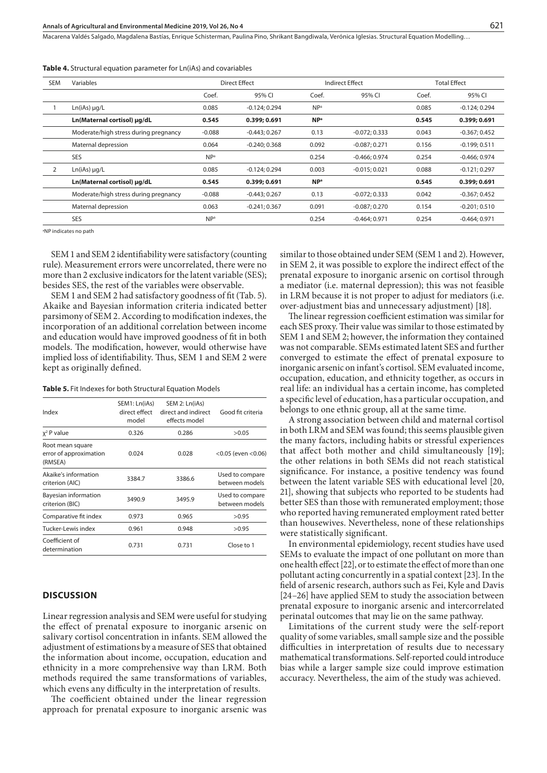Macarena Valdés Salgado, Magdalena Bastías, Enrique Schisterman, Paulina Pino, Shrikant Bangdiwala, Verónica Iglesias . Structural Equation Modelling…

|  |  |  |  |  |  |  |  |  | <b>Table 4.</b> Structural equation parameter for Ln(iAs) and covariables |
|--|--|--|--|--|--|--|--|--|---------------------------------------------------------------------------|
|--|--|--|--|--|--|--|--|--|---------------------------------------------------------------------------|

| <b>SEM</b> | Variables                             | Direct Effect<br>Indirect Effect |                 |                        | <b>Total Effect</b> |       |                 |
|------------|---------------------------------------|----------------------------------|-----------------|------------------------|---------------------|-------|-----------------|
|            |                                       | Coef.                            | 95% CI          | Coef.                  | 95% CI              | Coef. | 95% CI          |
|            | $Ln(iAs) \mu q/L$                     | 0.085                            | $-0.124; 0.294$ | NP <sup>a</sup>        |                     | 0.085 | $-0.124; 0.294$ |
|            | Ln(Maternal cortisol) µg/dL           | 0.545                            | 0.399; 0.691    | <b>NP</b> <sup>a</sup> |                     | 0.545 | 0.399; 0.691    |
|            | Moderate/high stress during pregnancy | $-0.088$                         | $-0.443:0.267$  | 0.13                   | $-0.072:0.333$      | 0.043 | $-0.367:0.452$  |
|            | Maternal depression                   | 0.064                            | $-0.240:0.368$  | 0.092                  | $-0.087; 0.271$     | 0.156 | $-0.199:0.511$  |
|            | <b>SES</b>                            | NP <sup>a</sup>                  |                 | 0.254                  | $-0.466:0.974$      | 0.254 | $-0.466:0.974$  |
| 2          | $Ln(iAs) \mu q/L$                     | 0.085                            | $-0.124:0.294$  | 0.003                  | $-0.015; 0.021$     | 0.088 | $-0.121; 0.297$ |
|            | Ln(Maternal cortisol) µg/dL           | 0.545                            | 0.399:0.691     | <b>NP</b> <sup>a</sup> |                     | 0.545 | 0.399; 0.691    |
|            | Moderate/high stress during pregnancy | $-0.088$                         | $-0.443; 0.267$ | 0.13                   | $-0.072; 0.333$     | 0.042 | $-0.367; 0.452$ |
|            | Maternal depression                   | 0.063                            | $-0.241:0.367$  | 0.091                  | $-0.087:0.270$      | 0.154 | $-0.201:0.510$  |
|            | <b>SES</b>                            | NP <sup>a</sup>                  |                 | 0.254                  | $-0.464:0.971$      | 0.254 | $-0.464:0.971$  |

a NP indicates no path

SEM 1 and SEM 2 identifiability were satisfactory (counting rule). Measurement errors were uncorrelated, there were no more than 2 exclusive indicators for the latent variable (SES); besides SES, the rest of the variables were observable.

SEM 1 and SEM 2 had satisfactory goodness of fit (Tab. 5). Akaike and Bayesian information criteria indicated better parsimony of SEM 2. According to modification indexes, the incorporation of an additional correlation between income and education would have improved goodness of fit in both models. The modification, however, would otherwise have implied loss of identifiability. Thus, SEM 1 and SEM 2 were kept as originally defined.

#### **Table 5.** Fit Indexes for both Structural Equation Models

| Index                                                 | SEM1: Ln(iAs)<br>direct effect<br>model | SEM 2: Ln(iAs)<br>direct and indirect<br>effects model | Good fit criteria                 |  |
|-------------------------------------------------------|-----------------------------------------|--------------------------------------------------------|-----------------------------------|--|
| $x^2$ P value                                         | 0.326                                   | 0.286                                                  | >0.05                             |  |
| Root mean square<br>error of approximation<br>(RMSEA) | 0.024                                   | 0.028                                                  | $<$ 0.05 (even $<$ 0.06)          |  |
| Akaike's information<br>criterion (AIC)               | 3384.7                                  | 3386.6                                                 | Used to compare<br>between models |  |
| Bayesian information<br>criterion (BIC)               | 3490.9                                  | 3495.9                                                 | Used to compare<br>between models |  |
| Comparative fit index                                 | 0.973                                   | 0.965                                                  | >0.95                             |  |
| Tucker-Lewis index                                    | 0.961                                   | 0.948                                                  | >0.95                             |  |
| Coefficient of<br>determination                       | 0.731                                   | 0.731                                                  | Close to 1                        |  |
|                                                       |                                         |                                                        |                                   |  |

#### **DISCUSSION**

Linear regression analysis and SEM were useful for studying the effect of prenatal exposure to inorganic arsenic on salivary cortisol concentration in infants. SEM allowed the adjustment of estimations by a measure of SES that obtained the information about income, occupation, education and ethnicity in a more comprehensive way than LRM. Both methods required the same transformations of variables, which evens any difficulty in the interpretation of results.

The coefficient obtained under the linear regression approach for prenatal exposure to inorganic arsenic was

similar to those obtained under SEM (SEM 1 and 2). However, in SEM 2, it was possible to explore the indirect effect of the prenatal exposure to inorganic arsenic on cortisol through a mediator (i.e. maternal depression); this was not feasible in LRM because it is not proper to adjust for mediators (i.e. over-adjustment bias and unnecessary adjustment) [18].

The linear regression coefficient estimation was similar for each SES proxy. Their value was similar to those estimated by SEM 1 and SEM 2; however, the information they contained was not comparable. SEMs estimated latent SES and further converged to estimate the effect of prenatal exposure to inorganic arsenic on infant's cortisol. SEM evaluated income, occupation, education, and ethnicity together, as occurs in real life: an individual has a certain income, has completed a specific level of education, has a particular occupation, and belongs to one ethnic group, all at the same time.

A strong association between child and maternal cortisol in both LRM and SEM was found; this seems plausible given the many factors, including habits or stressful experiences that affect both mother and child simultaneously [19]; the other relations in both SEMs did not reach statistical significance. For instance, a positive tendency was found between the latent variable SES with educational level [20, 21], showing that subjects who reported to be students had better SES than those with remunerated employment; those who reported having remunerated employment rated better than housewives. Nevertheless, none of these relationships were statistically significant.

In environmental epidemiology, recent studies have used SEMs to evaluate the impact of one pollutant on more than one health effect [22], or to estimate the effect of more than one pollutant acting concurrently in a spatial context [23]. In the field of arsenic research, authors such as Fei, Kyle and Davis [24–26] have applied SEM to study the association between prenatal exposure to inorganic arsenic and intercorrelated perinatal outcomes that may lie on the same pathway.

Limitations of the current study were the self-report quality of some variables, small sample size and the possible difficulties in interpretation of results due to necessary mathematical transformations. Self-reported could introduce bias while a larger sample size could improve estimation accuracy. Nevertheless, the aim of the study was achieved.